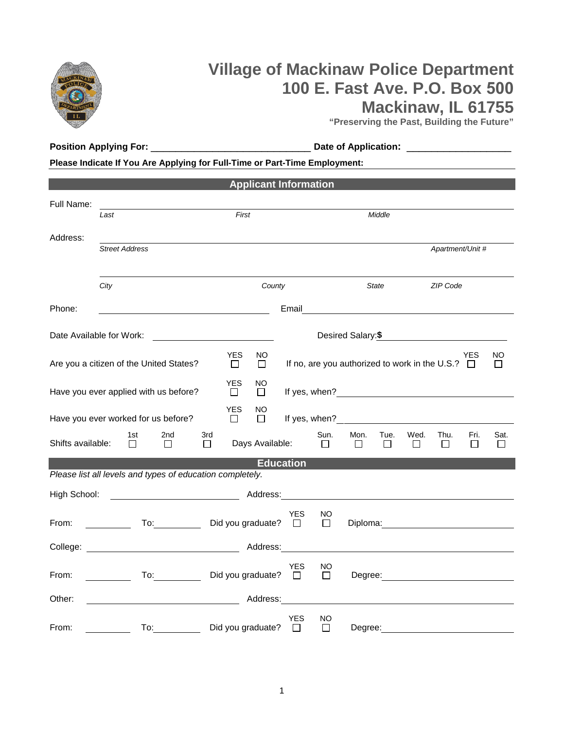

**Position Applying For:** \_\_\_\_\_\_\_\_\_\_\_\_\_\_\_\_\_\_\_\_\_\_\_\_\_\_ **Date of Application:** \_\_\_\_\_\_\_\_\_\_\_\_\_\_\_\_\_

**Please Indicate If You Are Applying for Full-Time or Part-Time Employment:** 

|                   |                                                           | <b>Applicant Information</b>          |                      |                     |                                                                                                                                                                                                                               |                |                |                  |                |                |
|-------------------|-----------------------------------------------------------|---------------------------------------|----------------------|---------------------|-------------------------------------------------------------------------------------------------------------------------------------------------------------------------------------------------------------------------------|----------------|----------------|------------------|----------------|----------------|
| Full Name:        |                                                           |                                       |                      |                     |                                                                                                                                                                                                                               |                |                |                  |                |                |
|                   | Last                                                      | First                                 |                      |                     | Middle                                                                                                                                                                                                                        |                |                |                  |                |                |
| Address:          | <b>Street Address</b>                                     |                                       |                      |                     |                                                                                                                                                                                                                               |                |                | Apartment/Unit # |                |                |
|                   | City                                                      |                                       | County               |                     | <b>State</b>                                                                                                                                                                                                                  |                |                | <b>ZIP Code</b>  |                |                |
| Phone:            | <u> 1989 - Johann Barn, mars eta inperiodo</u>            |                                       | Email                |                     |                                                                                                                                                                                                                               |                |                |                  |                |                |
|                   | Date Available for Work:                                  |                                       |                      |                     | Desired Salary:\$                                                                                                                                                                                                             |                |                |                  |                |                |
|                   | Are you a citizen of the United States?                   | <b>YES</b><br>NO.<br>$\Box$<br>$\Box$ |                      |                     | If no, are you authorized to work in the U.S.? $\Box$                                                                                                                                                                         |                |                |                  | <b>YES</b>     | NO.            |
|                   | Have you ever applied with us before?                     | <b>YES</b><br>NO<br>$\Box$<br>$\Box$  |                      |                     |                                                                                                                                                                                                                               |                |                |                  |                |                |
|                   | Have you ever worked for us before?                       | <b>YES</b><br>NO<br>□<br>$\Box$       |                      |                     | If yes, when? The state of the state of the state of the state of the state of the state of the state of the state of the state of the state of the state of the state of the state of the state of the state of the state of |                |                |                  |                |                |
| Shifts available: | 1st<br>2nd<br>3rd<br>П<br>$\Box$<br>$\Box$                | Days Available:                       |                      | Sun.<br>$\Box$      | Mon.<br>$\Box$                                                                                                                                                                                                                | Tue.<br>$\Box$ | Wed.<br>$\Box$ | Thu.<br>$\Box$   | Fri.<br>$\Box$ | Sat.<br>$\Box$ |
|                   | Please list all levels and types of education completely. |                                       | <b>Education</b>     |                     |                                                                                                                                                                                                                               |                |                |                  |                |                |
| High School:      |                                                           |                                       |                      |                     |                                                                                                                                                                                                                               |                |                |                  |                |                |
| From:             | To: Did you graduate?                                     |                                       | <b>YES</b><br>$\Box$ | NO<br>$\Box$        | Diploma: <u>____________________________</u>                                                                                                                                                                                  |                |                |                  |                |                |
|                   | College: Address:                                         |                                       |                      |                     |                                                                                                                                                                                                                               |                |                |                  |                |                |
| From:             |                                                           | Did you graduate?                     | YES<br>$\Box$        | <b>NO</b><br>$\Box$ |                                                                                                                                                                                                                               |                |                |                  |                |                |
| Other:            |                                                           |                                       | Address:             |                     |                                                                                                                                                                                                                               |                |                |                  |                |                |
| From:             | To:                                                       | Did you graduate?                     | YES<br>$\Box$        | NO<br>□             | Degree:                                                                                                                                                                                                                       |                |                |                  |                |                |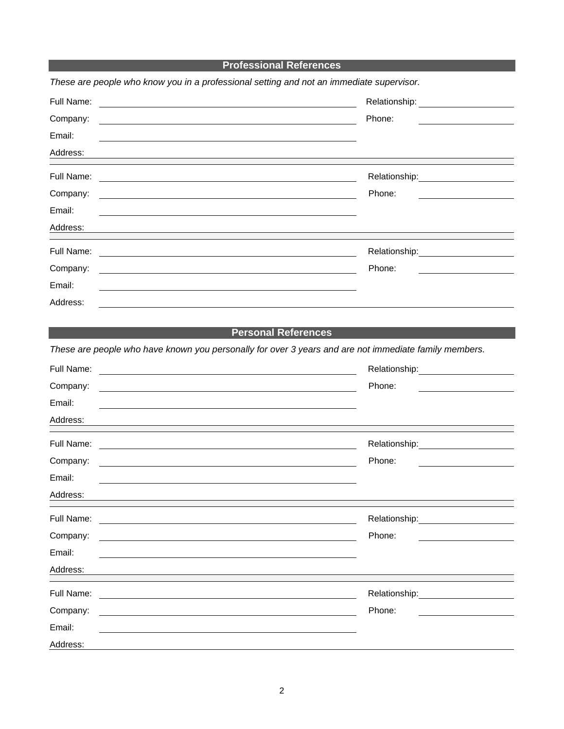|                                                                                          | <b>Professional References</b>                                                                                                                                                                                                 |
|------------------------------------------------------------------------------------------|--------------------------------------------------------------------------------------------------------------------------------------------------------------------------------------------------------------------------------|
| These are people who know you in a professional setting and not an immediate supervisor. |                                                                                                                                                                                                                                |
| Full Name:                                                                               |                                                                                                                                                                                                                                |
| Company:                                                                                 | Phone:                                                                                                                                                                                                                         |
| Email:                                                                                   |                                                                                                                                                                                                                                |
| Address:                                                                                 |                                                                                                                                                                                                                                |
| Full Name:                                                                               | Relationship: ______________________                                                                                                                                                                                           |
| Company:                                                                                 | Phone:                                                                                                                                                                                                                         |
| Email:                                                                                   |                                                                                                                                                                                                                                |
| Address:                                                                                 |                                                                                                                                                                                                                                |
| Full Name:                                                                               | Relationship: 2000                                                                                                                                                                                                             |
| Company:                                                                                 | Phone:                                                                                                                                                                                                                         |
| Email:                                                                                   |                                                                                                                                                                                                                                |
| Address:                                                                                 |                                                                                                                                                                                                                                |
|                                                                                          |                                                                                                                                                                                                                                |
|                                                                                          | <b>Personal References</b>                                                                                                                                                                                                     |
|                                                                                          | These are people who have known you personally for over 3 years and are not immediate family members.                                                                                                                          |
| Full Name:                                                                               |                                                                                                                                                                                                                                |
| Company:                                                                                 | Phone:                                                                                                                                                                                                                         |
| Email:                                                                                   |                                                                                                                                                                                                                                |
| Address:                                                                                 |                                                                                                                                                                                                                                |
| Full Name:                                                                               | Relationship: Network of the state of the state of the state of the state of the state of the state of the state of the state of the state of the state of the state of the state of the state of the state of the state of th |
| Company:                                                                                 | Phone:                                                                                                                                                                                                                         |
| Email:                                                                                   |                                                                                                                                                                                                                                |
| Address:                                                                                 |                                                                                                                                                                                                                                |
| Full Name:                                                                               |                                                                                                                                                                                                                                |
| Company:                                                                                 | Phone:                                                                                                                                                                                                                         |
| Email:                                                                                   |                                                                                                                                                                                                                                |
| Address:                                                                                 |                                                                                                                                                                                                                                |
| Full Name:                                                                               | Relationship:                                                                                                                                                                                                                  |
| Company:                                                                                 | Phone:                                                                                                                                                                                                                         |
| Email:                                                                                   |                                                                                                                                                                                                                                |
| Address:                                                                                 |                                                                                                                                                                                                                                |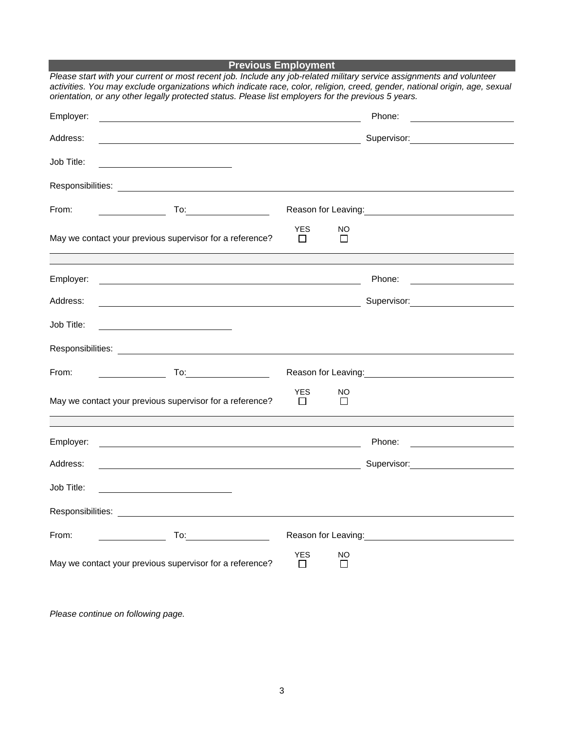|            | <b>Previous Employment</b>                                                                                                                                                                                                                                                                                                                                  |                 |               |                                                                                                                                                                                                                                        |
|------------|-------------------------------------------------------------------------------------------------------------------------------------------------------------------------------------------------------------------------------------------------------------------------------------------------------------------------------------------------------------|-----------------|---------------|----------------------------------------------------------------------------------------------------------------------------------------------------------------------------------------------------------------------------------------|
|            | Please start with your current or most recent job. Include any job-related military service assignments and volunteer<br>activities. You may exclude organizations which indicate race, color, religion, creed, gender, national origin, age, sexual<br>orientation, or any other legally protected status. Please list employers for the previous 5 years. |                 |               |                                                                                                                                                                                                                                        |
| Employer:  |                                                                                                                                                                                                                                                                                                                                                             |                 |               | Phone:                                                                                                                                                                                                                                 |
| Address:   | <u> 1980 - Andrea Stadt Britain, amerikansk politik (* 1950)</u>                                                                                                                                                                                                                                                                                            |                 |               | Supervisor: 2000                                                                                                                                                                                                                       |
| Job Title: | <u> 1989 - Johann Stoff, amerikansk politiker (</u>                                                                                                                                                                                                                                                                                                         |                 |               |                                                                                                                                                                                                                                        |
|            |                                                                                                                                                                                                                                                                                                                                                             |                 |               |                                                                                                                                                                                                                                        |
| From:      |                                                                                                                                                                                                                                                                                                                                                             |                 |               | Reason for Leaving:<br><u>Next and the manual contract of the set of the set of the set of the set of the set of the set of the set of the set of the set of the set of the set of the set of the set of the set of the set of the</u> |
|            | May we contact your previous supervisor for a reference?                                                                                                                                                                                                                                                                                                    | <b>YES</b><br>П | NO<br>П       |                                                                                                                                                                                                                                        |
|            |                                                                                                                                                                                                                                                                                                                                                             |                 |               |                                                                                                                                                                                                                                        |
| Employer:  | <u> 1989 - Johann Stein, mars an deus Amerikaansk kommunister (d. 1989)</u>                                                                                                                                                                                                                                                                                 |                 |               | Phone:                                                                                                                                                                                                                                 |
| Address:   |                                                                                                                                                                                                                                                                                                                                                             |                 |               | Supervisor: 2000                                                                                                                                                                                                                       |
| Job Title: |                                                                                                                                                                                                                                                                                                                                                             |                 |               |                                                                                                                                                                                                                                        |
|            |                                                                                                                                                                                                                                                                                                                                                             |                 |               |                                                                                                                                                                                                                                        |
| From:      |                                                                                                                                                                                                                                                                                                                                                             |                 |               | Reason for Leaving: Note that the set of the set of the set of the set of the set of the set of the set of the                                                                                                                         |
|            | May we contact your previous supervisor for a reference?                                                                                                                                                                                                                                                                                                    | <b>YES</b><br>П | NO.<br>$\Box$ |                                                                                                                                                                                                                                        |
| Employer:  |                                                                                                                                                                                                                                                                                                                                                             |                 |               | Phone:                                                                                                                                                                                                                                 |
|            |                                                                                                                                                                                                                                                                                                                                                             |                 |               |                                                                                                                                                                                                                                        |
| Address:   |                                                                                                                                                                                                                                                                                                                                                             |                 |               | Supervisor:<br>the contract of the contract of the contract of                                                                                                                                                                         |
| Job Title: |                                                                                                                                                                                                                                                                                                                                                             |                 |               |                                                                                                                                                                                                                                        |
|            | Responsibilities: <u>www.community.community.community.community.community.community.com</u>                                                                                                                                                                                                                                                                |                 |               |                                                                                                                                                                                                                                        |
| From:      |                                                                                                                                                                                                                                                                                                                                                             |                 |               | Reason for Leaving: Management Control of Reason for Leaving:                                                                                                                                                                          |
|            | May we contact your previous supervisor for a reference?                                                                                                                                                                                                                                                                                                    | <b>YES</b><br>□ | NO<br>□       |                                                                                                                                                                                                                                        |

*Please continue on following page.*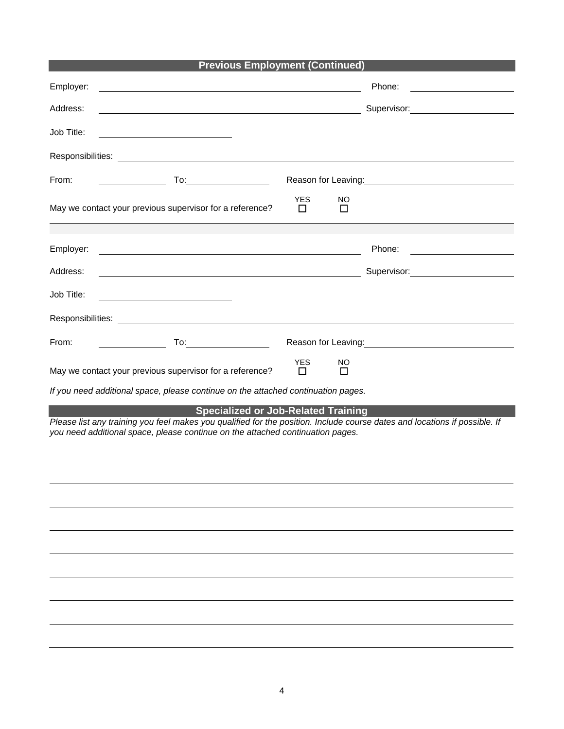|  | <b>Previous Employment (Continued)</b> |  |
|--|----------------------------------------|--|
|--|----------------------------------------|--|

| Employer:                                                                                                                                                                                                                                                  | Phone:                                                                                                                                                                                                                                 |
|------------------------------------------------------------------------------------------------------------------------------------------------------------------------------------------------------------------------------------------------------------|----------------------------------------------------------------------------------------------------------------------------------------------------------------------------------------------------------------------------------------|
| Address:                                                                                                                                                                                                                                                   | Supervisor: Victor Control of Control Control Control Control Control Control Control Control Control Control Co                                                                                                                       |
| Job Title:<br><u> 1989 - Johann Barbara, martin a</u>                                                                                                                                                                                                      |                                                                                                                                                                                                                                        |
|                                                                                                                                                                                                                                                            |                                                                                                                                                                                                                                        |
| From:                                                                                                                                                                                                                                                      | Reason for Leaving:<br><u>Next and the manufacture of the set of the set of the set of the set of the set of the set of the set of the set of the set of the set of the set of the set of the set of the set of the set of the set</u> |
| <b>YES</b><br>May we contact your previous supervisor for a reference?<br>$\mathsf{L}$                                                                                                                                                                     | NO<br>П                                                                                                                                                                                                                                |
|                                                                                                                                                                                                                                                            |                                                                                                                                                                                                                                        |
| Employer:                                                                                                                                                                                                                                                  | Phone:                                                                                                                                                                                                                                 |
| Address:<br><u> 1989 - Johann Stoff, deutscher Stoffen und der Stoffen und der Stoffen und der Stoffen und der Stoffen und der</u>                                                                                                                         |                                                                                                                                                                                                                                        |
| Job Title:                                                                                                                                                                                                                                                 |                                                                                                                                                                                                                                        |
|                                                                                                                                                                                                                                                            |                                                                                                                                                                                                                                        |
| From:                                                                                                                                                                                                                                                      | Reason for Leaving:<br><u>Neason</u> for Leaving:                                                                                                                                                                                      |
| <b>YES</b><br>May we contact your previous supervisor for a reference?<br>$\mathsf{L}$                                                                                                                                                                     | ΝO<br>l 1                                                                                                                                                                                                                              |
| If you need additional space, please continue on the attached continuation pages.                                                                                                                                                                          |                                                                                                                                                                                                                                        |
| <b>Specialized or Job-Related Training</b><br>Please list any training you feel makes you qualified for the position. Include course dates and locations if possible. If<br>you need additional space, please continue on the attached continuation pages. |                                                                                                                                                                                                                                        |
|                                                                                                                                                                                                                                                            |                                                                                                                                                                                                                                        |
|                                                                                                                                                                                                                                                            |                                                                                                                                                                                                                                        |
|                                                                                                                                                                                                                                                            |                                                                                                                                                                                                                                        |
|                                                                                                                                                                                                                                                            |                                                                                                                                                                                                                                        |
|                                                                                                                                                                                                                                                            |                                                                                                                                                                                                                                        |
|                                                                                                                                                                                                                                                            |                                                                                                                                                                                                                                        |
|                                                                                                                                                                                                                                                            |                                                                                                                                                                                                                                        |
|                                                                                                                                                                                                                                                            |                                                                                                                                                                                                                                        |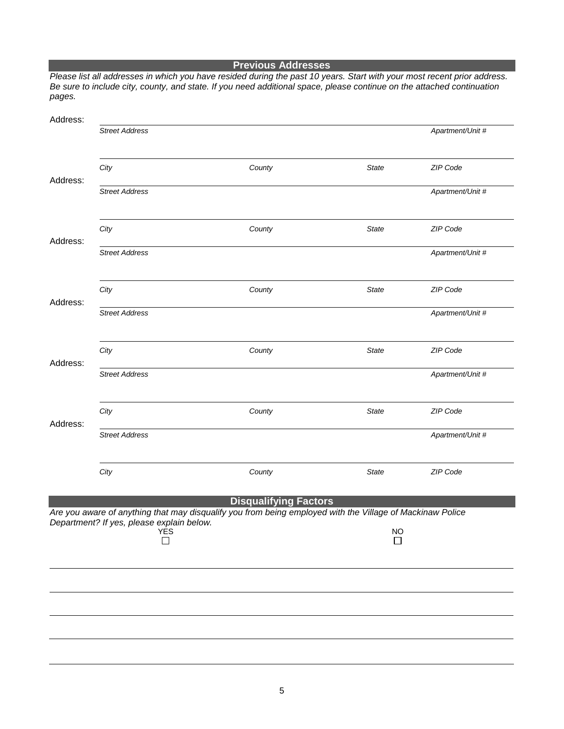| Address: |                                                  |                                                                                                           |                |                  |
|----------|--------------------------------------------------|-----------------------------------------------------------------------------------------------------------|----------------|------------------|
|          | <b>Street Address</b>                            |                                                                                                           |                | Apartment/Unit # |
| Address: | City                                             | County                                                                                                    | <b>State</b>   | ZIP Code         |
|          | <b>Street Address</b>                            |                                                                                                           |                | Apartment/Unit # |
| Address: | City                                             | County                                                                                                    | <b>State</b>   | ZIP Code         |
|          | <b>Street Address</b>                            |                                                                                                           |                | Apartment/Unit # |
|          | City                                             | County                                                                                                    | <b>State</b>   | ZIP Code         |
| Address: | <b>Street Address</b>                            |                                                                                                           |                | Apartment/Unit # |
|          | City                                             | County                                                                                                    | <b>State</b>   | ZIP Code         |
| Address: | <b>Street Address</b>                            |                                                                                                           |                | Apartment/Unit # |
|          | City                                             | County                                                                                                    | <b>State</b>   | ZIP Code         |
| Address: | <b>Street Address</b>                            |                                                                                                           |                | Apartment/Unit # |
|          | City                                             | County                                                                                                    | <b>State</b>   | ZIP Code         |
|          |                                                  | <b>Disqualifying Factors</b>                                                                              |                |                  |
|          | Department? If yes, please explain below.<br>YES | Are you aware of anything that may disqualify you from being employed with the Village of Mackinaw Police | <b>NO</b><br>П |                  |
|          |                                                  |                                                                                                           |                |                  |
|          |                                                  |                                                                                                           |                |                  |
|          |                                                  |                                                                                                           |                |                  |
|          |                                                  |                                                                                                           |                |                  |

**Previous Addresses** *Please list all addresses in which you have resided during the past 10 years. Start with your most recent prior address. Be sure to include city, county, and state. If you need additional space, please continue on the attached continuation pages.*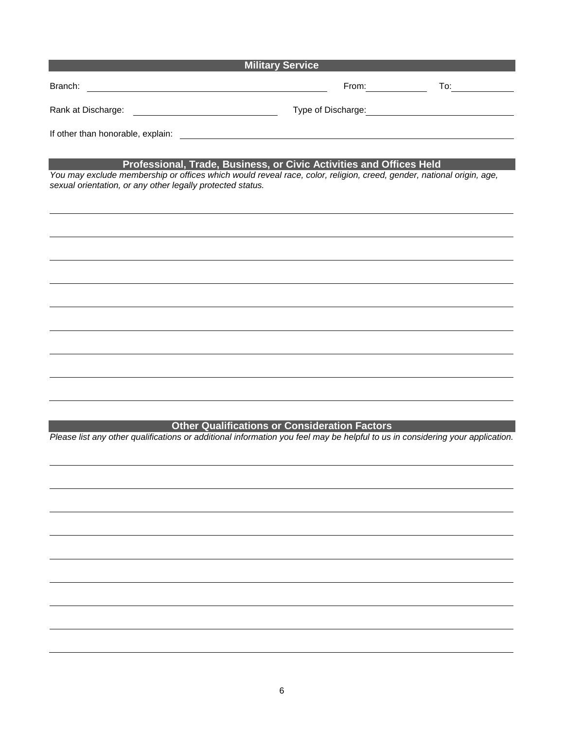| <b>Military Service</b>                                                                                                                                                                                                                                   |                     |                                                                                                                                                                                                                                |  |  |
|-----------------------------------------------------------------------------------------------------------------------------------------------------------------------------------------------------------------------------------------------------------|---------------------|--------------------------------------------------------------------------------------------------------------------------------------------------------------------------------------------------------------------------------|--|--|
|                                                                                                                                                                                                                                                           | From: $\sqrt{2\pi}$ | To: the contract of the contract of the contract of the contract of the contract of the contract of the contract of the contract of the contract of the contract of the contract of the contract of the contract of the contra |  |  |
|                                                                                                                                                                                                                                                           |                     | Type of Discharge: Manager and Contact Contact Contact Contact Contact Contact Contact Contact Contact Contact Contact Contact Contact Contact Contact Contact Contact Contact Contact Contact Contact Contact Contact Contact |  |  |
|                                                                                                                                                                                                                                                           |                     |                                                                                                                                                                                                                                |  |  |
| Professional, Trade, Business, or Civic Activities and Offices Held<br>You may exclude membership or offices which would reveal race, color, religion, creed, gender, national origin, age,<br>sexual orientation, or any other legally protected status. |                     |                                                                                                                                                                                                                                |  |  |
|                                                                                                                                                                                                                                                           |                     |                                                                                                                                                                                                                                |  |  |
|                                                                                                                                                                                                                                                           |                     |                                                                                                                                                                                                                                |  |  |
|                                                                                                                                                                                                                                                           |                     |                                                                                                                                                                                                                                |  |  |
|                                                                                                                                                                                                                                                           |                     |                                                                                                                                                                                                                                |  |  |
|                                                                                                                                                                                                                                                           |                     |                                                                                                                                                                                                                                |  |  |
|                                                                                                                                                                                                                                                           |                     |                                                                                                                                                                                                                                |  |  |
|                                                                                                                                                                                                                                                           |                     |                                                                                                                                                                                                                                |  |  |
|                                                                                                                                                                                                                                                           |                     |                                                                                                                                                                                                                                |  |  |
|                                                                                                                                                                                                                                                           |                     |                                                                                                                                                                                                                                |  |  |

**Other Qualifications or Consideration Factors**

*Please list any other qualifications or additional information you feel may be helpful to us in considering your application.*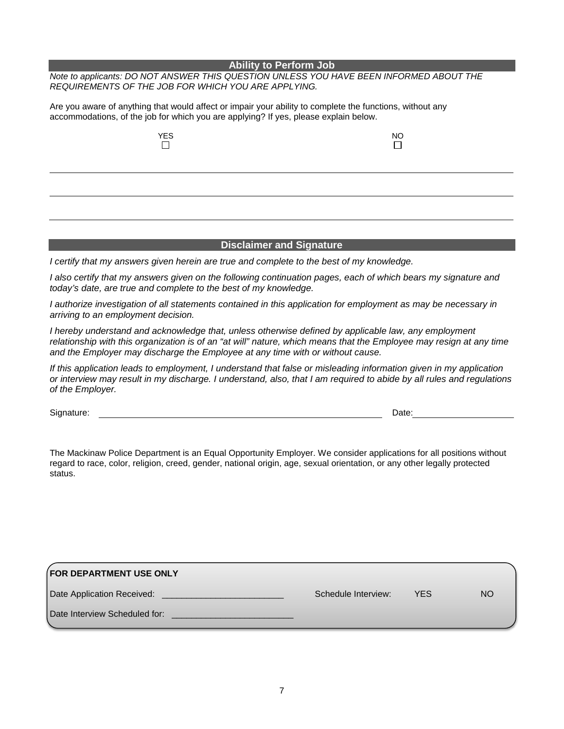## **Ability to Perform Job**

*Note to applicants: DO NOT ANSWER THIS QUESTION UNLESS YOU HAVE BEEN INFORMED ABOUT THE REQUIREMENTS OF THE JOB FOR WHICH YOU ARE APPLYING.*

Are you aware of anything that would affect or impair your ability to complete the functions, without any accommodations, of the job for which you are applying? If yes, please explain below.

| <b>YES</b> | <b>NO</b> |
|------------|-----------|
|            |           |

## **Disclaimer and Signature**

*I certify that my answers given herein are true and complete to the best of my knowledge.*

*I also certify that my answers given on the following continuation pages, each of which bears my signature and today's date, are true and complete to the best of my knowledge.*

*I authorize investigation of all statements contained in this application for employment as may be necessary in arriving to an employment decision.* 

*I hereby understand and acknowledge that, unless otherwise defined by applicable law, any employment*  relationship with this organization is of an "at will" nature, which means that the Employee may resign at any time *and the Employer may discharge the Employee at any time with or without cause.*

*If this application leads to employment, I understand that false or misleading information given in my application or interview may result in my discharge. I understand, also, that I am required to abide by all rules and regulations of the Employer.*

Signature: Date: Detection of the contract of the contract of the contract of the contract of the contract of the contract of the contract of the contract of the contract of the contract of the contract of the contract of

The Mackinaw Police Department is an Equal Opportunity Employer. We consider applications for all positions without regard to race, color, religion, creed, gender, national origin, age, sexual orientation, or any other legally protected status.

| <b>FOR DEPARTMENT USE ONLY</b> |                     |     |    |
|--------------------------------|---------------------|-----|----|
| Date Application Received:     | Schedule Interview: | YES | NO |
| Date Interview Scheduled for:  |                     |     |    |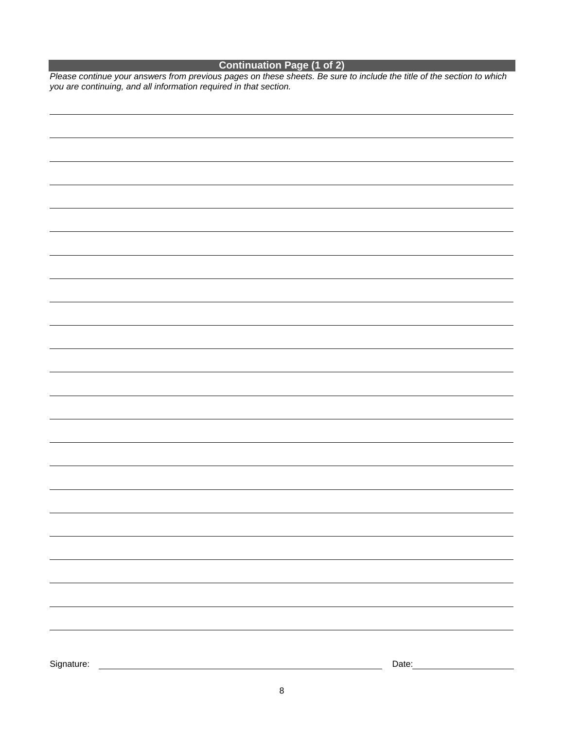## **Continuation Page (1 of 2)**

*Please continue your answers from previous pages on these sheets. Be sure to include the title of the section to which you are continuing, and all information required in that section.*

| Signature: | Date: |
|------------|-------|
|            |       |